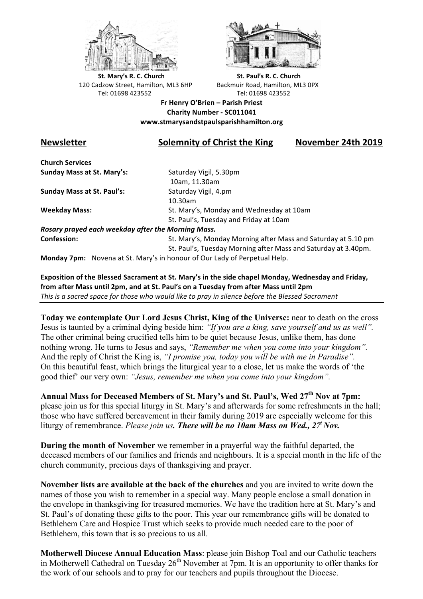



**St.** Mary's R. C. Church St. Paul's R. C. Church 120 Cadzow Street, Hamilton, ML3 6HP Backmuir Road, Hamilton, ML3 0PX Tel: 01698 423552 Tel: 01698 423552

**Fr Henry O'Brien – Parish Priest Charity Number - SC011041 www.stmarysandstpaulsparishhamilton.org**

## **Newsletter Solemnity of Christ the King November 24th 2019**

**Church Services Sunday Mass at St. Mary's:** Saturday Vigil, 5.30pm

**Sunday Mass at St. Paul's:** Saturday Vigil, 4.pm

 10am, 11.30am 10.30am **Weekday Mass:** St. Mary's, Monday and Wednesday at 10am St. Paul's, Tuesday and Friday at 10am

*Rosary prayed each weekday after the Morning Mass.* **Confession:** St. Mary's, Monday Morning after Mass and Saturday at 5.10 pm

St. Paul's, Tuesday Morning after Mass and Saturday at 3.40pm.

**Monday 7pm:** Novena at St. Mary's in honour of Our Lady of Perpetual Help.

Exposition of the Blessed Sacrament at St. Mary's in the side chapel Monday, Wednesday and Friday, from after Mass until 2pm, and at St. Paul's on a Tuesday from after Mass until 2pm This is a sacred space for those who would like to pray in silence before the Blessed Sacrament

**Today we contemplate Our Lord Jesus Christ, King of the Universe:** near to death on the cross Jesus is taunted by a criminal dying beside him: *"If you are a king, save yourself and us as well".* The other criminal being crucified tells him to be quiet because Jesus, unlike them, has done nothing wrong. He turns to Jesus and says, *"Remember me when you come into your kingdom".* And the reply of Christ the King is, *"I promise you, today you will be with me in Paradise".* On this beautiful feast, which brings the liturgical year to a close, let us make the words of 'the good thief' our very own: *"Jesus, remember me when you come into your kingdom".*

**Annual Mass for Deceased Members of St. Mary's and St. Paul's, Wed 27th Nov at 7pm:** please join us for this special liturgy in St. Mary's and afterwards for some refreshments in the hall; those who have suffered bereavement in their family during 2019 are especially welcome for this liturgy of remembrance. *Please join us. There will be no 10am Mass on Wed., 27t Nov.*

**During the month of November** we remember in a prayerful way the faithful departed, the deceased members of our families and friends and neighbours. It is a special month in the life of the church community, precious days of thanksgiving and prayer.

**November lists are available at the back of the churches** and you are invited to write down the names of those you wish to remember in a special way. Many people enclose a small donation in the envelope in thanksgiving for treasured memories. We have the tradition here at St. Mary's and St. Paul's of donating these gifts to the poor. This year our remembrance gifts will be donated to Bethlehem Care and Hospice Trust which seeks to provide much needed care to the poor of Bethlehem, this town that is so precious to us all.

**Motherwell Diocese Annual Education Mass**: please join Bishop Toal and our Catholic teachers in Motherwell Cathedral on Tuesday  $26<sup>th</sup>$  November at 7pm. It is an opportunity to offer thanks for the work of our schools and to pray for our teachers and pupils throughout the Diocese.